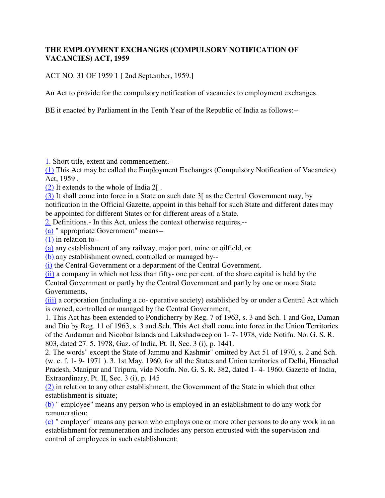## **THE EMPLOYMENT EXCHANGES (COMPULSORY NOTIFICATION OF VACANCIES) ACT, 1959**

ACT NO. 31 OF 1959 1 [ 2nd September, 1959.]

An Act to provide for the compulsory notification of vacancies to employment exchanges.

BE it enacted by Parliament in the Tenth Year of the Republic of India as follows:--

1. Short title, extent and commencement.-

(1) This Act may be called the Employment Exchanges (Compulsory Notification of Vacancies) Act, 1959 .

 $(2)$  It extends to the whole of India 2.

(3) It shall come into force in a State on such date 3[ as the Central Government may, by notification in the Official Gazette, appoint in this behalf for such State and different dates may be appointed for different States or for different areas of a State.

2. Definitions.- In this Act, unless the context otherwise requires,--

(a) " appropriate Government" means--

(1) in relation to--

(a) any establishment of any railway, major port, mine or oilfield, or

(b) any establishment owned, controlled or managed by--

(i) the Central Government or a department of the Central Government,

(ii) a company in which not less than fifty- one per cent. of the share capital is held by the

Central Government or partly by the Central Government and partly by one or more State Governments,

(iii) a corporation (including a co- operative society) established by or under a Central Act which is owned, controlled or managed by the Central Government,

1. This Act has been extended to Pondicherry by Reg. 7 of 1963, s. 3 and Sch. 1 and Goa, Daman and Diu by Reg. 11 of 1963, s. 3 and Sch. This Act shall come into force in the Union Territories of the Andaman and Nicobar Islands and Lakshadweep on 1- 7- 1978, vide Notifn. No. G. S. R. 803, dated 27. 5. 1978, Gaz. of India, Pt. II, Sec. 3 (i), p. 1441.

2. The words" except the State of Jammu and Kashmir" omitted by Act 51 of 1970, s. 2 and Sch. (w. e. f. 1- 9- 1971 ). 3. 1st May, 1960, for all the States and Union territories of Delhi, Himachal Pradesh, Manipur and Tripura, vide Notifn. No. G. S. R. 382, dated 1- 4- 1960. Gazette of India, Extraordinary, Pt. II, Sec. 3 (i), p. 145

(2) in relation to any other establishment, the Government of the State in which that other establishment is situate;

(b) " employee" means any person who is employed in an establishment to do any work for remuneration;

(c) " employer" means any person who employs one or more other persons to do any work in an establishment for remuneration and includes any person entrusted with the supervision and control of employees in such establishment;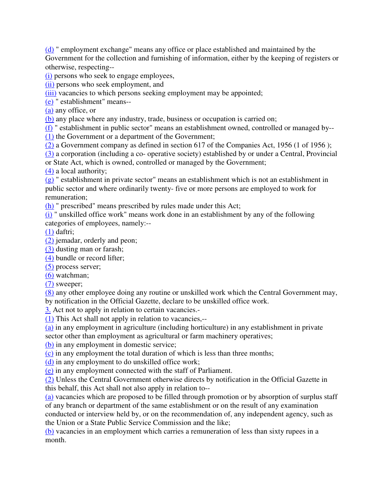(d) " employment exchange" means any office or place established and maintained by the Government for the collection and furnishing of information, either by the keeping of registers or otherwise, respecting--

(i) persons who seek to engage employees,

(ii) persons who seek employment, and

(iii) vacancies to which persons seeking employment may be appointed;

(e) " establishment" means--

(a) any office, or

(b) any place where any industry, trade, business or occupation is carried on;

(f) " establishment in public sector" means an establishment owned, controlled or managed by-- (1) the Government or a department of the Government;

(2) a Government company as defined in section 617 of the Companies Act, 1956 (1 of 1956 );

(3) a corporation (including a co- operative society) established by or under a Central, Provincial or State Act, which is owned, controlled or managed by the Government;

(4) a local authority;

 $(g)$ " establishment in private sector" means an establishment which is not an establishment in public sector and where ordinarily twenty- five or more persons are employed to work for remuneration;

(h) " prescribed" means prescribed by rules made under this Act;

(i) " unskilled office work" means work done in an establishment by any of the following categories of employees, namely:--

 $(1)$  daftri;

(2) jemadar, orderly and peon;

(3) dusting man or farash;

(4) bundle or record lifter;

(5) process server;

(6) watchman;

(7) sweeper;

(8) any other employee doing any routine or unskilled work which the Central Government may, by notification in the Official Gazette, declare to be unskilled office work.

3. Act not to apply in relation to certain vacancies.-

(1) This Act shall not apply in relation to vacancies,--

(a) in any employment in agriculture (including horticulture) in any establishment in private sector other than employment as agricultural or farm machinery operatives;

(b) in any employment in domestic service;

(c) in any employment the total duration of which is less than three months;

(d) in any employment to do unskilled office work;

(e) in any employment connected with the staff of Parliament.

(2) Unless the Central Government otherwise directs by notification in the Official Gazette in this behalf, this Act shall not also apply in relation to--

(a) vacancies which are proposed to be filled through promotion or by absorption of surplus staff of any branch or department of the same establishment or on the result of any examination conducted or interview held by, or on the recommendation of, any independent agency, such as the Union or a State Public Service Commission and the like;

(b) vacancies in an employment which carries a remuneration of less than sixty rupees in a month.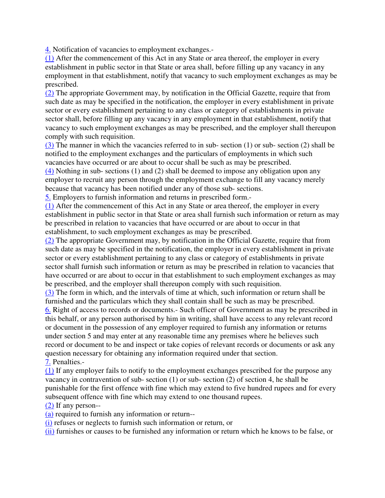4. Notification of vacancies to employment exchanges.-

(1) After the commencement of this Act in any State or area thereof, the employer in every establishment in public sector in that State or area shall, before filling up any vacancy in any employment in that establishment, notify that vacancy to such employment exchanges as may be prescribed.

(2) The appropriate Government may, by notification in the Official Gazette, require that from such date as may be specified in the notification, the employer in every establishment in private sector or every establishment pertaining to any class or category of establishments in private sector shall, before filling up any vacancy in any employment in that establishment, notify that vacancy to such employment exchanges as may be prescribed, and the employer shall thereupon comply with such requisition.

(3) The manner in which the vacancies referred to in sub- section (1) or sub- section (2) shall be notified to the employment exchanges and the particulars of employments in which such vacancies have occurred or are about to occur shall be such as may be prescribed.

(4) Nothing in sub- sections (1) and (2) shall be deemed to impose any obligation upon any employer to recruit any person through the employment exchange to fill any vacancy merely because that vacancy has been notified under any of those sub- sections.

5. Employers to furnish information and returns in prescribed form.-

(1) After the commencement of this Act in any State or area thereof, the employer in every establishment in public sector in that State or area shall furnish such information or return as may be prescribed in relation to vacancies that have occurred or are about to occur in that establishment, to such employment exchanges as may be prescribed.

(2) The appropriate Government may, by notification in the Official Gazette, require that from such date as may be specified in the notification, the employer in every establishment in private sector or every establishment pertaining to any class or category of establishments in private sector shall furnish such information or return as may be prescribed in relation to vacancies that have occurred or are about to occur in that establishment to such employment exchanges as may be prescribed, and the employer shall thereupon comply with such requisition.

(3) The form in which, and the intervals of time at which, such information or return shall be furnished and the particulars which they shall contain shall be such as may be prescribed.

6. Right of access to records or documents.- Such officer of Government as may be prescribed in this behalf, or any person authorised by him in writing, shall have access to any relevant record or document in the possession of any employer required to furnish any information or returns under section 5 and may enter at any reasonable time any premises where he believes such record or document to be and inspect or take copies of relevant records or documents or ask any question necessary for obtaining any information required under that section. 7. Penalties.-

(1) If any employer fails to notify to the employment exchanges prescribed for the purpose any vacancy in contravention of sub- section (1) or sub- section (2) of section 4, he shall be punishable for the first offence with fine which may extend to five hundred rupees and for every subsequent offence with fine which may extend to one thousand rupees.

(2) If any person--

(a) required to furnish any information or return--

(i) refuses or neglects to furnish such information or return, or

(ii) furnishes or causes to be furnished any information or return which he knows to be false, or